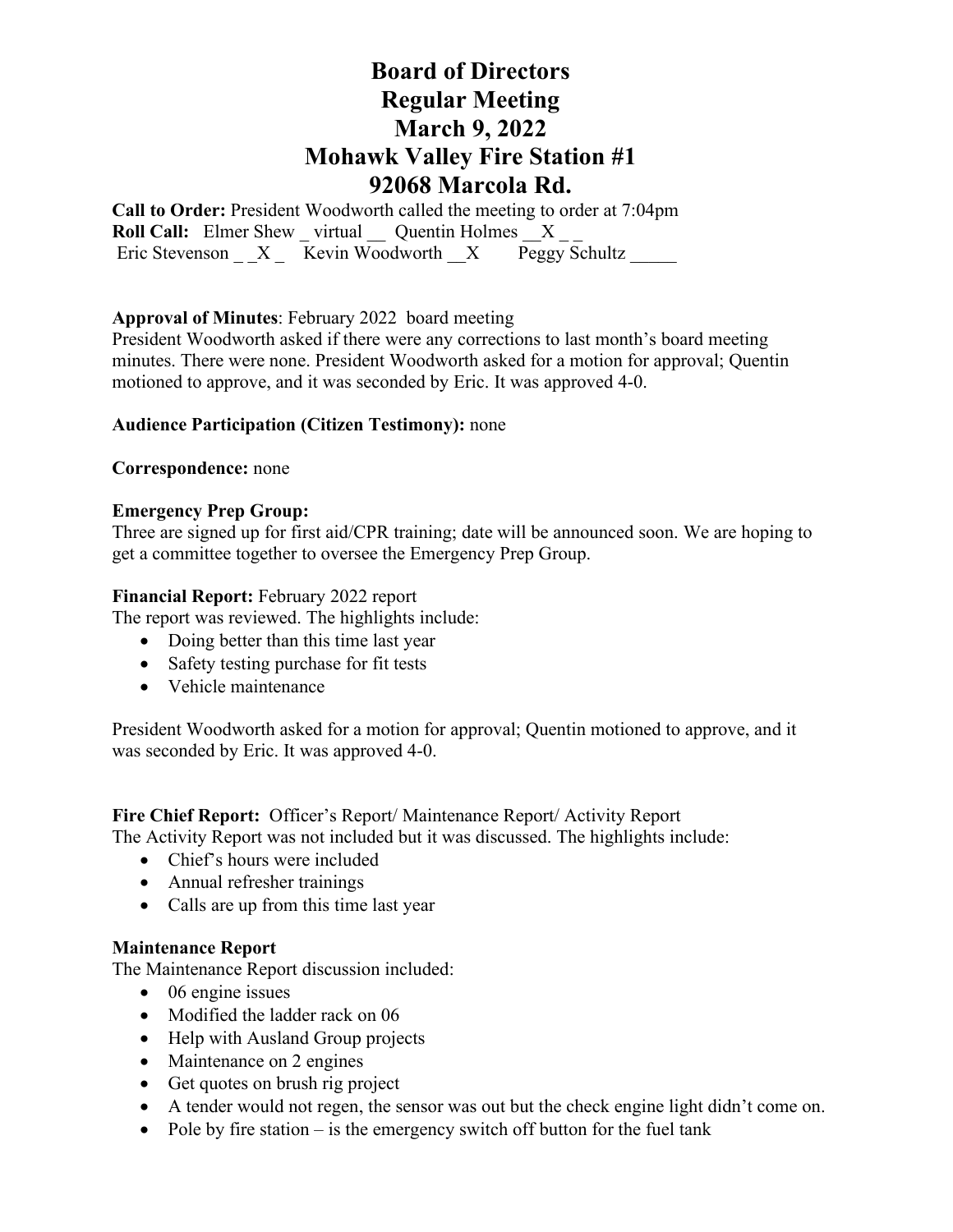**Call to Order:** President Woodworth called the meeting to order at 7:04pm **Roll Call:** Elmer Shew \_ virtual \_\_ Quentin Holmes \_\_X \_\_ Eric Stevenson  $X = \overline{\text{Kevin Woodworth}}$   $X = \overline{\text{Peggy Schultz}}$ 

## **Approval of Minutes**: February 2022 board meeting

President Woodworth asked if there were any corrections to last month's board meeting minutes. There were none. President Woodworth asked for a motion for approval; Quentin motioned to approve, and it was seconded by Eric. It was approved 4-0.

### **Audience Participation (Citizen Testimony):** none

### **Correspondence:** none

### **Emergency Prep Group:**

Three are signed up for first aid/CPR training; date will be announced soon. We are hoping to get a committee together to oversee the Emergency Prep Group.

### **Financial Report:** February 2022 report

The report was reviewed. The highlights include:

- Doing better than this time last year
- Safety testing purchase for fit tests
- Vehicle maintenance

President Woodworth asked for a motion for approval; Quentin motioned to approve, and it was seconded by Eric. It was approved 4-0.

### **Fire Chief Report:** Officer's Report/ Maintenance Report/ Activity Report

The Activity Report was not included but it was discussed. The highlights include:

- Chief's hours were included
- Annual refresher trainings
- Calls are up from this time last year

### **Maintenance Report**

The Maintenance Report discussion included:

- 06 engine issues
- Modified the ladder rack on 06
- Help with Ausland Group projects
- Maintenance on 2 engines
- Get quotes on brush rig project
- A tender would not regen, the sensor was out but the check engine light didn't come on.
- Pole by fire station is the emergency switch off button for the fuel tank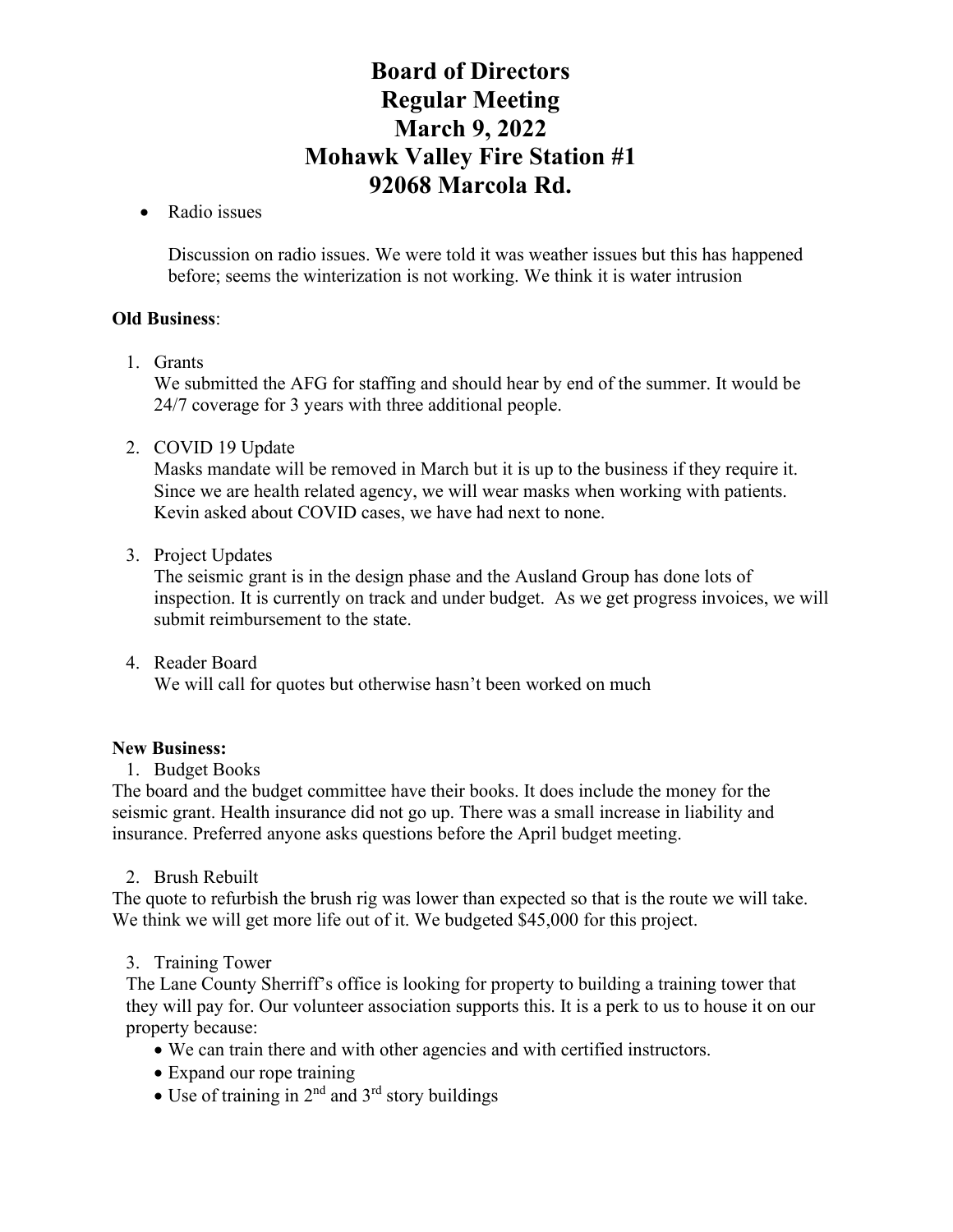## • Radio issues

Discussion on radio issues. We were told it was weather issues but this has happened before; seems the winterization is not working. We think it is water intrusion

## **Old Business**:

1. Grants

We submitted the AFG for staffing and should hear by end of the summer. It would be 24/7 coverage for 3 years with three additional people.

2. COVID 19 Update

Masks mandate will be removed in March but it is up to the business if they require it. Since we are health related agency, we will wear masks when working with patients. Kevin asked about COVID cases, we have had next to none.

3. Project Updates

The seismic grant is in the design phase and the Ausland Group has done lots of inspection. It is currently on track and under budget. As we get progress invoices, we will submit reimbursement to the state.

4. Reader Board We will call for quotes but otherwise hasn't been worked on much

### **New Business:**

1. Budget Books

The board and the budget committee have their books. It does include the money for the seismic grant. Health insurance did not go up. There was a small increase in liability and insurance. Preferred anyone asks questions before the April budget meeting.

2. Brush Rebuilt

The quote to refurbish the brush rig was lower than expected so that is the route we will take. We think we will get more life out of it. We budgeted \$45,000 for this project.

3. Training Tower

The Lane County Sherriff's office is looking for property to building a training tower that they will pay for. Our volunteer association supports this. It is a perk to us to house it on our property because:

- We can train there and with other agencies and with certified instructors.
- Expand our rope training
- Use of training in  $2^{nd}$  and  $3^{rd}$  story buildings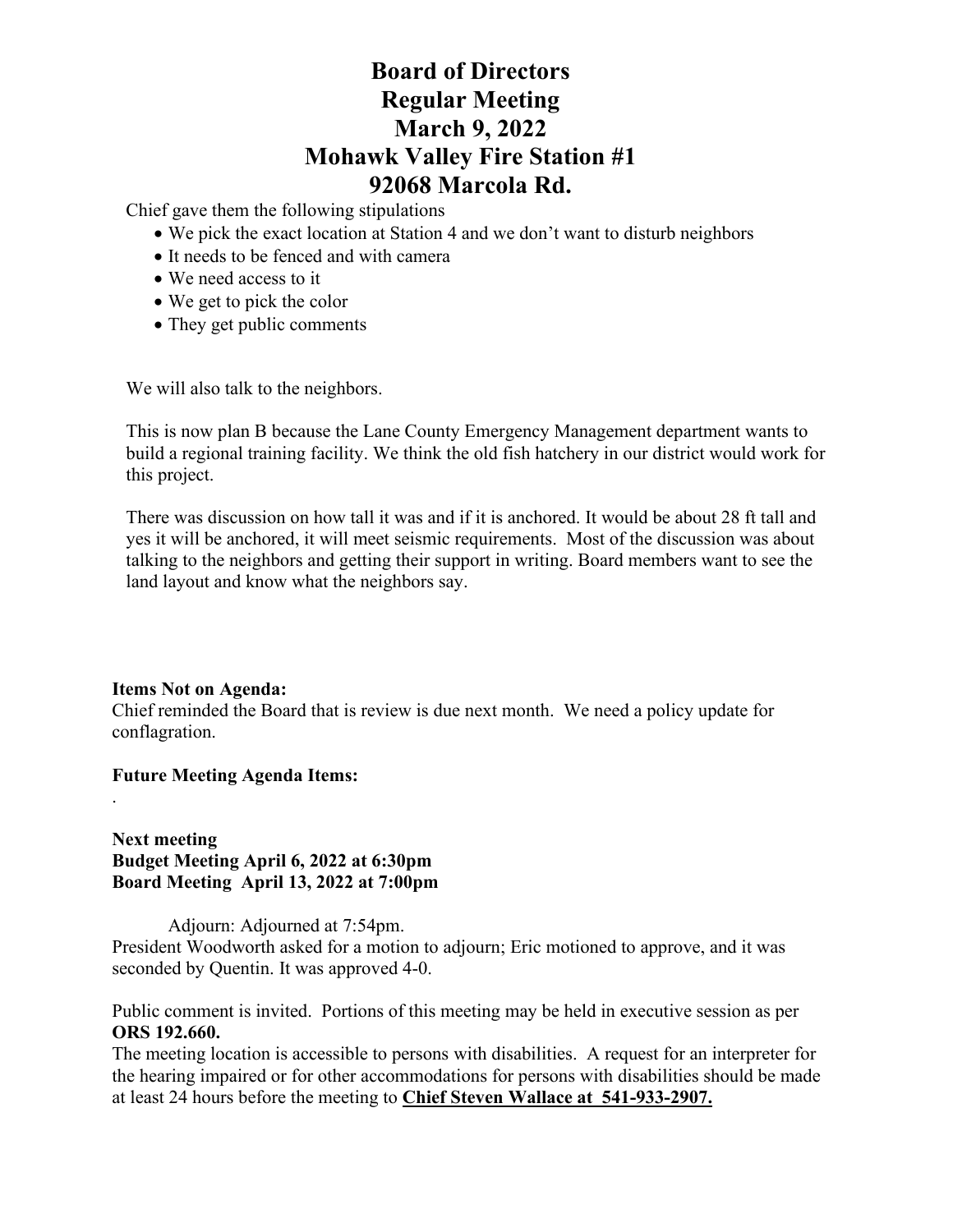Chief gave them the following stipulations

- We pick the exact location at Station 4 and we don't want to disturb neighbors
- It needs to be fenced and with camera
- We need access to it
- We get to pick the color
- They get public comments

We will also talk to the neighbors.

This is now plan B because the Lane County Emergency Management department wants to build a regional training facility. We think the old fish hatchery in our district would work for this project.

There was discussion on how tall it was and if it is anchored. It would be about 28 ft tall and yes it will be anchored, it will meet seismic requirements. Most of the discussion was about talking to the neighbors and getting their support in writing. Board members want to see the land layout and know what the neighbors say.

## **Items Not on Agenda:**

.

Chief reminded the Board that is review is due next month. We need a policy update for conflagration.

## **Future Meeting Agenda Items:**

**Next meeting Budget Meeting April 6, 2022 at 6:30pm Board Meeting April 13, 2022 at 7:00pm**

Adjourn: Adjourned at 7:54pm.

President Woodworth asked for a motion to adjourn; Eric motioned to approve, and it was seconded by Quentin. It was approved 4-0.

Public comment is invited. Portions of this meeting may be held in executive session as per **ORS 192.660.**

The meeting location is accessible to persons with disabilities. A request for an interpreter for the hearing impaired or for other accommodations for persons with disabilities should be made at least 24 hours before the meeting to **Chief Steven Wallace at 541-933-2907.**